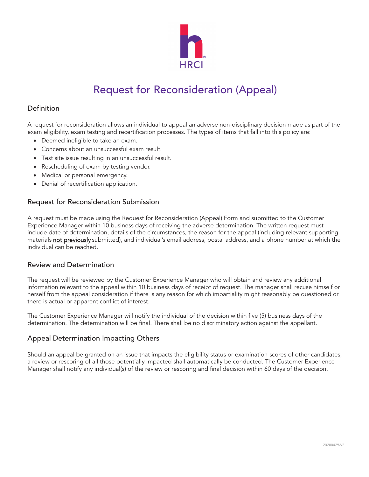

# Request for Reconsideration (Appeal)

### Definition

A request for reconsideration allows an individual to appeal an adverse non-disciplinary decision made as part of the exam eligibility, exam testing and recertification processes. The types of items that fall into this policy are:

- Deemed ineligible to take an exam.
- Concerns about an unsuccessful exam result.
- Test site issue resulting in an unsuccessful result.
- Rescheduling of exam by testing vendor.
- Medical or personal emergency.
- Denial of recertification application.

#### Request for Reconsideration Submission

A request must be made using the Request for Reconsideration (Appeal) Form and submitted to the Customer Experience Manager within 10 business days of receiving the adverse determination. The written request must include date of determination, details of the circumstances, the reason for the appeal (including relevant supporting materials not previously submitted), and individual's email address, postal address, and a phone number at which the individual can be reached.

#### Review and Determination

The request will be reviewed by the Customer Experience Manager who will obtain and review any additional information relevant to the appeal within 10 business days of receipt of request. The manager shall recuse himself or herself from the appeal consideration if there is any reason for which impartiality might reasonably be questioned or there is actual or apparent conflict of interest.

The Customer Experience Manager will notify the individual of the decision within five (5) business days of the determination. The determination will be final. There shall be no discriminatory action against the appellant.

### Appeal Determination Impacting Others

Should an appeal be granted on an issue that impacts the eligibility status or examination scores of other candidates, a review or rescoring of all those potentially impacted shall automatically be conducted. The Customer Experience Manager shall notify any individual(s) of the review or rescoring and final decision within 60 days of the decision.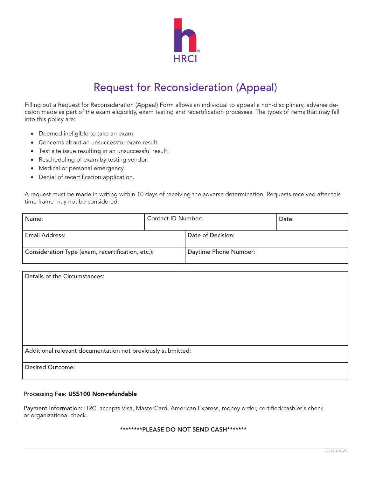

## Request for Reconsideration (Appeal)

Filling out a Request for Reconsideration (Appeal) Form allows an individual to appeal a non-disciplinary, adverse decision made as part of the exam eligibility, exam testing and recertification processes. The types of items that may fall into this policy are:

- Deemed ineligible to take an exam.
- Concerns about an unsuccessful exam result.
- Test site issue resulting in an unsuccessful result.
- Rescheduling of exam by testing vendor.
- Medical or personal emergency.
- Denial of recertification application.

A request must be made in writing within 10 days of receiving the adverse determination. Requests received after this time frame may not be considered.

| Name:                                             | <b>Contact ID Number:</b> |                       | Date: |
|---------------------------------------------------|---------------------------|-----------------------|-------|
| Email Address:                                    |                           | Date of Decision:     |       |
| Consideration Type (exam, recertification, etc.): |                           | Daytime Phone Number: |       |

| Details of the Circumstances:                               |
|-------------------------------------------------------------|
|                                                             |
|                                                             |
|                                                             |
|                                                             |
|                                                             |
|                                                             |
| Additional relevant documentation not previously submitted: |
| <b>Desired Outcome:</b>                                     |
|                                                             |

#### Processing Fee: US\$100 Non-refundable

Payment Information: HRCI accepts Visa, MasterCard, American Express, money order, certified/cashier's check or organizational check.

#### \*\*\*\*\*\*\*\*PLEASE DO NOT SEND CASH\*\*\*\*\*\*\*